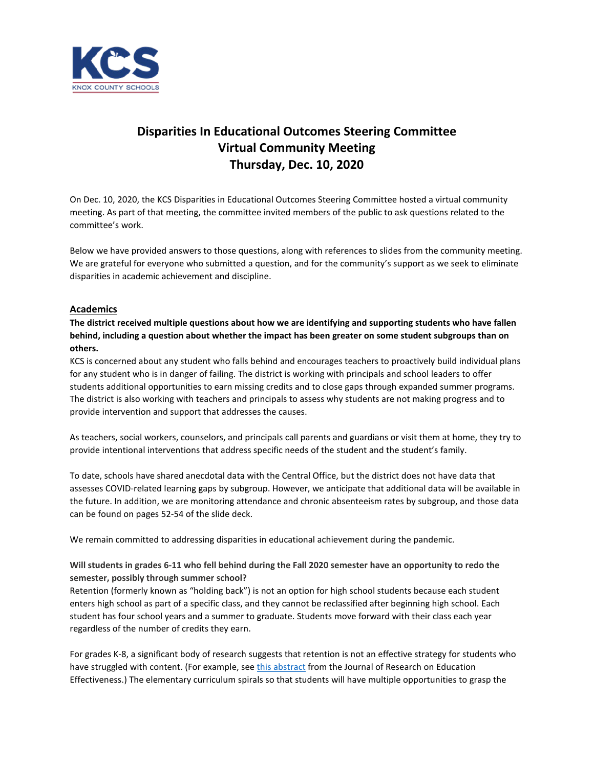

# **Disparities In Educational Outcomes Steering Committee Virtual Community Meeting Thursday, Dec. 10, 2020**

On Dec. 10, 2020, the KCS Disparities in Educational Outcomes Steering Committee hosted a virtual community meeting. As part of that meeting, the committee invited members of the public to ask questions related to the committee's work.

Below we have provided answers to those questions, along with references to slides from the community meeting. We are grateful for everyone who submitted a question, and for the community's support as we seek to eliminate disparities in academic achievement and discipline.

# **Academics**

**The district received multiple questions about how we are identifying and supporting students who have fallen behind, including a question about whether the impact has been greater on some student subgroups than on others.**

KCS is concerned about any student who falls behind and encourages teachers to proactively build individual plans for any student who is in danger of failing. The district is working with principals and school leaders to offer students additional opportunities to earn missing credits and to close gaps through expanded summer programs. The district is also working with teachers and principals to assess why students are not making progress and to provide intervention and support that addresses the causes.

As teachers, social workers, counselors, and principals call parents and guardians or visit them at home, they try to provide intentional interventions that address specific needs of the student and the student's family.

To date, schools have shared anecdotal data with the Central Office, but the district does not have data that assesses COVID-related learning gaps by subgroup. However, we anticipate that additional data will be available in the future. In addition, we are monitoring attendance and chronic absenteeism rates by subgroup, and those data can be found on pages 52-54 of the slide deck.

We remain committed to addressing disparities in educational achievement during the pandemic.

**Will students in grades 6-11 who fell behind during the Fall 2020 semester have an opportunity to redo the semester, possibly through summer school?**

Retention (formerly known as "holding back") is not an option for high school students because each student enters high school as part of a specific class, and they cannot be reclassified after beginning high school. Each student has four school years and a summer to graduate. Students move forward with their class each year regardless of the number of credits they earn.

For grades K-8, a significant body of research suggests that retention is not an effective strategy for students who have struggled with content. (For example, see [this abstract](https://www.tandfonline.com/doi/abs/10.1080/19345747.2018.1496500) from the Journal of Research on Education Effectiveness.) The elementary curriculum spirals so that students will have multiple opportunities to grasp the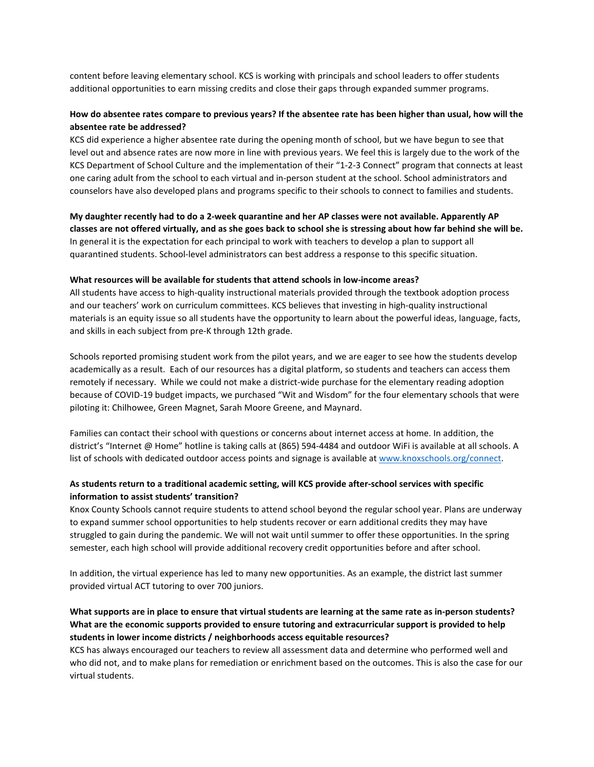content before leaving elementary school. KCS is working with principals and school leaders to offer students additional opportunities to earn missing credits and close their gaps through expanded summer programs.

# **How do absentee rates compare to previous years? If the absentee rate has been higher than usual, how will the absentee rate be addressed?**

KCS did experience a higher absentee rate during the opening month of school, but we have begun to see that level out and absence rates are now more in line with previous years. We feel this is largely due to the work of the KCS Department of School Culture and the implementation of their "1-2-3 Connect" program that connects at least one caring adult from the school to each virtual and in-person student at the school. School administrators and counselors have also developed plans and programs specific to their schools to connect to families and students.

**My daughter recently had to do a 2-week quarantine and her AP classes were not available. Apparently AP classes are not offered virtually, and as she goes back to school she is stressing about how far behind she will be.** In general it is the expectation for each principal to work with teachers to develop a plan to support all quarantined students. School-level administrators can best address a response to this specific situation.

### **What resources will be available for students that attend schools in low-income areas?**

All students have access to high-quality instructional materials provided through the textbook adoption process and our teachers' work on curriculum committees. KCS believes that investing in high-quality instructional materials is an equity issue so all students have the opportunity to learn about the powerful ideas, language, facts, and skills in each subject from pre-K through 12th grade.

Schools reported promising student work from the pilot years, and we are eager to see how the students develop academically as a result. Each of our resources has a digital platform, so students and teachers can access them remotely if necessary. While we could not make a district-wide purchase for the elementary reading adoption because of COVID-19 budget impacts, we purchased "Wit and Wisdom" for the four elementary schools that were piloting it: Chilhowee, Green Magnet, Sarah Moore Greene, and Maynard.

Families can contact their school with questions or concerns about internet access at home. In addition, the district's "Internet @ Home" hotline is taking calls at (865) 594-4484 and outdoor WiFi is available at all schools. A list of schools with dedicated outdoor access points and signage is available at [www.knoxschools.org/connect.](http://www.knoxschools.org/connect)

### **As students return to a traditional academic setting, will KCS provide after-school services with specific information to assist students' transition?**

Knox County Schools cannot require students to attend school beyond the regular school year. Plans are underway to expand summer school opportunities to help students recover or earn additional credits they may have struggled to gain during the pandemic. We will not wait until summer to offer these opportunities. In the spring semester, each high school will provide additional recovery credit opportunities before and after school.

In addition, the virtual experience has led to many new opportunities. As an example, the district last summer provided virtual ACT tutoring to over 700 juniors.

# **What supports are in place to ensure that virtual students are learning at the same rate as in-person students? What are the economic supports provided to ensure tutoring and extracurricular support is provided to help students in lower income districts / neighborhoods access equitable resources?**

KCS has always encouraged our teachers to review all assessment data and determine who performed well and who did not, and to make plans for remediation or enrichment based on the outcomes. This is also the case for our virtual students.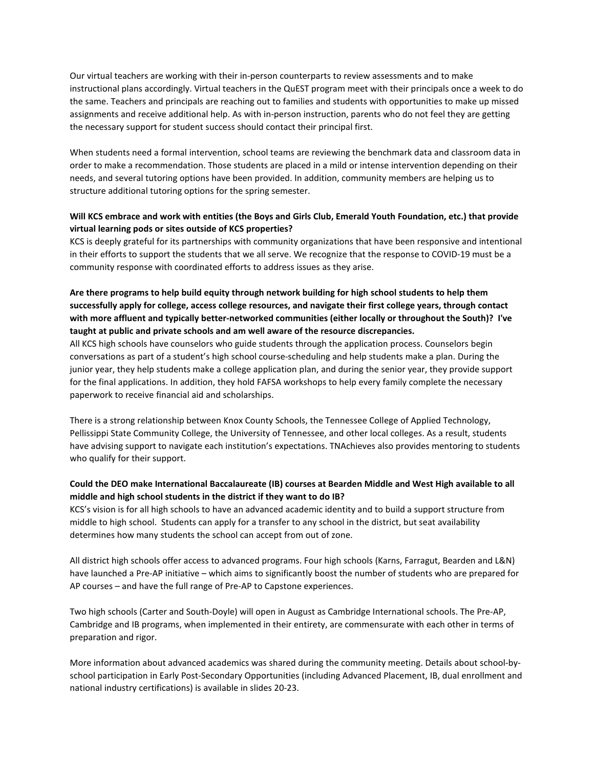Our virtual teachers are working with their in-person counterparts to review assessments and to make instructional plans accordingly. Virtual teachers in the QuEST program meet with their principals once a week to do the same. Teachers and principals are reaching out to families and students with opportunities to make up missed assignments and receive additional help. As with in-person instruction, parents who do not feel they are getting the necessary support for student success should contact their principal first.

When students need a formal intervention, school teams are reviewing the benchmark data and classroom data in order to make a recommendation. Those students are placed in a mild or intense intervention depending on their needs, and several tutoring options have been provided. In addition, community members are helping us to structure additional tutoring options for the spring semester.

# **Will KCS embrace and work with entities (the Boys and Girls Club, Emerald Youth Foundation, etc.) that provide virtual learning pods or sites outside of KCS properties?**

KCS is deeply grateful for its partnerships with community organizations that have been responsive and intentional in their efforts to support the students that we all serve. We recognize that the response to COVID-19 must be a community response with coordinated efforts to address issues as they arise.

**Are there programs to help build equity through network building for high school students to help them successfully apply for college, access college resources, and navigate their first college years, through contact with more affluent and typically better-networked communities (either locally or throughout the South)? I've taught at public and private schools and am well aware of the resource discrepancies.**

All KCS high schools have counselors who guide students through the application process. Counselors begin conversations as part of a student's high school course-scheduling and help students make a plan. During the junior year, they help students make a college application plan, and during the senior year, they provide support for the final applications. In addition, they hold FAFSA workshops to help every family complete the necessary paperwork to receive financial aid and scholarships.

There is a strong relationship between Knox County Schools, the Tennessee College of Applied Technology, Pellissippi State Community College, the University of Tennessee, and other local colleges. As a result, students have advising support to navigate each institution's expectations. TNAchieves also provides mentoring to students who qualify for their support.

# **Could the DEO make International Baccalaureate (IB) courses at Bearden Middle and West High available to all middle and high school students in the district if they want to do IB?**

KCS's vision is for all high schools to have an advanced academic identity and to build a support structure from middle to high school. Students can apply for a transfer to any school in the district, but seat availability determines how many students the school can accept from out of zone.

All district high schools offer access to advanced programs. Four high schools (Karns, Farragut, Bearden and L&N) have launched a Pre-AP initiative – which aims to significantly boost the number of students who are prepared for AP courses – and have the full range of Pre-AP to Capstone experiences.

Two high schools (Carter and South-Doyle) will open in August as Cambridge International schools. The Pre-AP, Cambridge and IB programs, when implemented in their entirety, are commensurate with each other in terms of preparation and rigor.

More information about advanced academics was shared during the community meeting. Details about school-byschool participation in Early Post-Secondary Opportunities (including Advanced Placement, IB, dual enrollment and national industry certifications) is available in slides 20-23.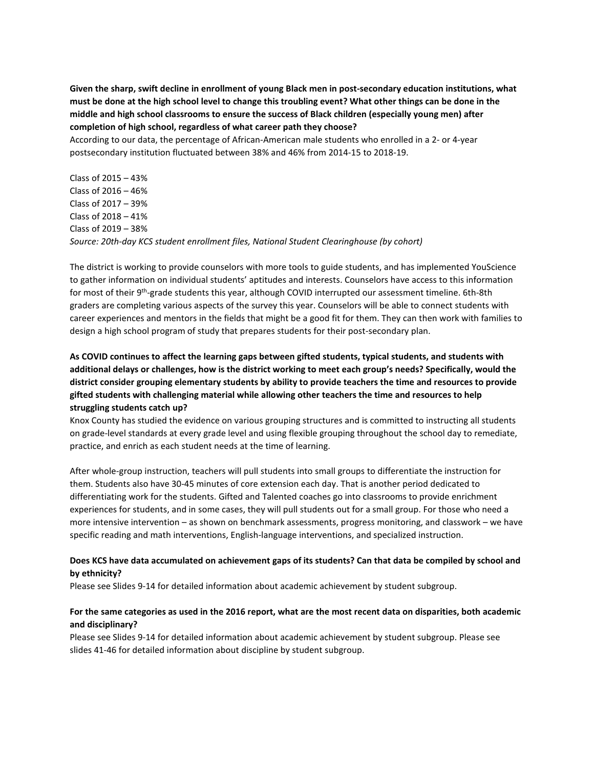**Given the sharp, swift decline in enrollment of young Black men in post-secondary education institutions, what must be done at the high school level to change this troubling event? What other things can be done in the middle and high school classrooms to ensure the success of Black children (especially young men) after completion of high school, regardless of what career path they choose?**

According to our data, the percentage of African-American male students who enrolled in a 2- or 4-year postsecondary institution fluctuated between 38% and 46% from 2014-15 to 2018-19.

Class of 2015 – 43% Class of 2016 – 46% Class of 2017 – 39% Class of 2018 – 41% Class of 2019 – 38% *Source: 20th-day KCS student enrollment files, National Student Clearinghouse (by cohort)*

The district is working to provide counselors with more tools to guide students, and has implemented YouScience to gather information on individual students' aptitudes and interests. Counselors have access to this information for most of their 9th-grade students this year, although COVID interrupted our assessment timeline. 6th-8th graders are completing various aspects of the survey this year. Counselors will be able to connect students with career experiences and mentors in the fields that might be a good fit for them. They can then work with families to design a high school program of study that prepares students for their post-secondary plan.

# **As COVID continues to affect the learning gaps between gifted students, typical students, and students with additional delays or challenges, how is the district working to meet each group's needs? Specifically, would the district consider grouping elementary students by ability to provide teachers the time and resources to provide gifted students with challenging material while allowing other teachers the time and resources to help struggling students catch up?**

Knox County has studied the evidence on various grouping structures and is committed to instructing all students on grade-level standards at every grade level and using flexible grouping throughout the school day to remediate, practice, and enrich as each student needs at the time of learning.

After whole-group instruction, teachers will pull students into small groups to differentiate the instruction for them. Students also have 30-45 minutes of core extension each day. That is another period dedicated to differentiating work for the students. Gifted and Talented coaches go into classrooms to provide enrichment experiences for students, and in some cases, they will pull students out for a small group. For those who need a more intensive intervention – as shown on benchmark assessments, progress monitoring, and classwork – we have specific reading and math interventions, English-language interventions, and specialized instruction.

### **Does KCS have data accumulated on achievement gaps of its students? Can that data be compiled by school and by ethnicity?**

Please see Slides 9-14 for detailed information about academic achievement by student subgroup.

# **For the same categories as used in the 2016 report, what are the most recent data on disparities, both academic and disciplinary?**

Please see Slides 9-14 for detailed information about academic achievement by student subgroup. Please see slides 41-46 for detailed information about discipline by student subgroup.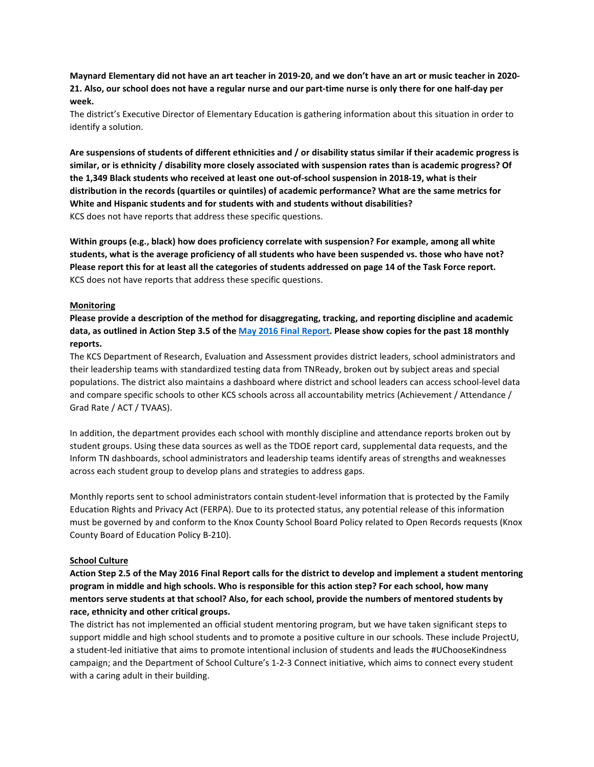**Maynard Elementary did not have an art teacher in 2019-20, and we don't have an art or music teacher in 2020- 21. Also, our school does not have a regular nurse and our part-time nurse is only there for one half-day per week.**

The district's Executive Director of Elementary Education is gathering information about this situation in order to identify a solution.

**Are suspensions of students of different ethnicities and / or disability status similar if their academic progress is similar, or is ethnicity / disability more closely associated with suspension rates than is academic progress? Of the 1,349 Black students who received at least one out-of-school suspension in 2018-19, what is their distribution in the records (quartiles or quintiles) of academic performance? What are the same metrics for White and Hispanic students and for students with and students without disabilities?** KCS does not have reports that address these specific questions.

**Within groups (e.g., black) how does proficiency correlate with suspension? For example, among all white students, what is the average proficiency of all students who have been suspended vs. those who have not? Please report this for at least all the categories of students addressed on page 14 of the Task Force report.** KCS does not have reports that address these specific questions.

### **Monitoring**

**Please provide a description of the method for disaggregating, tracking, and reporting discipline and academic data, as outlined in Action Step 3.5 of the [May 2016 Final Report.](https://www.knoxschools.org/cms/lib/TN01917079/Centricity/domain/4325/final%20report/DEOFinalReportandRecommendations.pdf) Please show copies for the past 18 monthly reports.**

The KCS Department of Research, Evaluation and Assessment provides district leaders, school administrators and their leadership teams with standardized testing data from TNReady, broken out by subject areas and special populations. The district also maintains a dashboard where district and school leaders can access school-level data and compare specific schools to other KCS schools across all accountability metrics (Achievement / Attendance / Grad Rate / ACT / TVAAS).

In addition, the department provides each school with monthly discipline and attendance reports broken out by student groups. Using these data sources as well as the TDOE report card, supplemental data requests, and the Inform TN dashboards, school administrators and leadership teams identify areas of strengths and weaknesses across each student group to develop plans and strategies to address gaps.

Monthly reports sent to school administrators contain student-level information that is protected by the Family Education Rights and Privacy Act (FERPA). Due to its protected status, any potential release of this information must be governed by and conform to the Knox County School Board Policy related to Open Records requests (Knox County Board of Education Policy B-210).

### **School Culture**

**Action Step 2.5 of the May 2016 Final Report calls for the district to develop and implement a student mentoring program in middle and high schools. Who is responsible for this action step? For each school, how many mentors serve students at that school? Also, for each school, provide the numbers of mentored students by race, ethnicity and other critical groups.**

The district has not implemented an official student mentoring program, but we have taken significant steps to support middle and high school students and to promote a positive culture in our schools. These include ProjectU, a student-led initiative that aims to promote intentional inclusion of students and leads the #UChooseKindness campaign; and the Department of School Culture's 1-2-3 Connect initiative, which aims to connect every student with a caring adult in their building.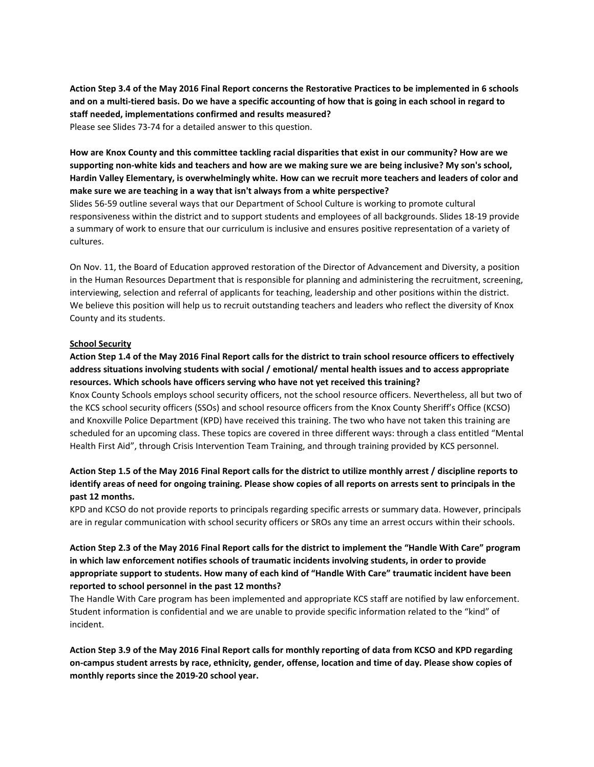**Action Step 3.4 of the May 2016 Final Report concerns the Restorative Practices to be implemented in 6 schools and on a multi-tiered basis. Do we have a specific accounting of how that is going in each school in regard to staff needed, implementations confirmed and results measured?** Please see Slides 73-74 for a detailed answer to this question.

**How are Knox County and this committee tackling racial disparities that exist in our community? How are we supporting non-white kids and teachers and how are we making sure we are being inclusive? My son's school, Hardin Valley Elementary, is overwhelmingly white. How can we recruit more teachers and leaders of color and make sure we are teaching in a way that isn't always from a white perspective?**

Slides 56-59 outline several ways that our Department of School Culture is working to promote cultural responsiveness within the district and to support students and employees of all backgrounds. Slides 18-19 provide a summary of work to ensure that our curriculum is inclusive and ensures positive representation of a variety of cultures.

On Nov. 11, the Board of Education approved restoration of the Director of Advancement and Diversity, a position in the Human Resources Department that is responsible for planning and administering the recruitment, screening, interviewing, selection and referral of applicants for teaching, leadership and other positions within the district. We believe this position will help us to recruit outstanding teachers and leaders who reflect the diversity of Knox County and its students.

### **School Security**

# **Action Step 1.4 of the May 2016 Final Report calls for the district to train school resource officers to effectively address situations involving students with social / emotional/ mental health issues and to access appropriate resources. Which schools have officers serving who have not yet received this training?**

Knox County Schools employs school security officers, not the school resource officers. Nevertheless, all but two of the KCS school security officers (SSOs) and school resource officers from the Knox County Sheriff's Office (KCSO) and Knoxville Police Department (KPD) have received this training. The two who have not taken this training are scheduled for an upcoming class. These topics are covered in three different ways: through a class entitled "Mental Health First Aid", through Crisis Intervention Team Training, and through training provided by KCS personnel.

# **Action Step 1.5 of the May 2016 Final Report calls for the district to utilize monthly arrest / discipline reports to identify areas of need for ongoing training. Please show copies of all reports on arrests sent to principals in the past 12 months.**

KPD and KCSO do not provide reports to principals regarding specific arrests or summary data. However, principals are in regular communication with school security officers or SROs any time an arrest occurs within their schools.

# **Action Step 2.3 of the May 2016 Final Report calls for the district to implement the "Handle With Care" program in which law enforcement notifies schools of traumatic incidents involving students, in order to provide appropriate support to students. How many of each kind of "Handle With Care" traumatic incident have been reported to school personnel in the past 12 months?**

The Handle With Care program has been implemented and appropriate KCS staff are notified by law enforcement. Student information is confidential and we are unable to provide specific information related to the "kind" of incident.

**Action Step 3.9 of the May 2016 Final Report calls for monthly reporting of data from KCSO and KPD regarding on-campus student arrests by race, ethnicity, gender, offense, location and time of day. Please show copies of monthly reports since the 2019-20 school year.**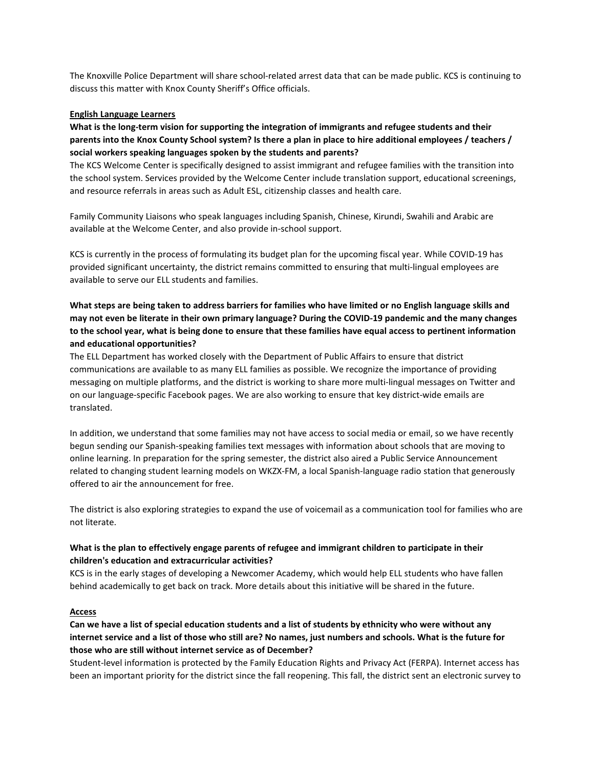The Knoxville Police Department will share school-related arrest data that can be made public. KCS is continuing to discuss this matter with Knox County Sheriff's Office officials.

### **English Language Learners**

# **What is the long-term vision for supporting the integration of immigrants and refugee students and their parents into the Knox County School system? Is there a plan in place to hire additional employees / teachers / social workers speaking languages spoken by the students and parents?**

The KCS Welcome Center is specifically designed to assist immigrant and refugee families with the transition into the school system. Services provided by the Welcome Center include translation support, educational screenings, and resource referrals in areas such as Adult ESL, citizenship classes and health care.

Family Community Liaisons who speak languages including Spanish, Chinese, Kirundi, Swahili and Arabic are available at the Welcome Center, and also provide in-school support.

KCS is currently in the process of formulating its budget plan for the upcoming fiscal year. While COVID-19 has provided significant uncertainty, the district remains committed to ensuring that multi-lingual employees are available to serve our ELL students and families.

# **What steps are being taken to address barriers for families who have limited or no English language skills and may not even be literate in their own primary language? During the COVID-19 pandemic and the many changes to the school year, what is being done to ensure that these families have equal access to pertinent information and educational opportunities?**

The ELL Department has worked closely with the Department of Public Affairs to ensure that district communications are available to as many ELL families as possible. We recognize the importance of providing messaging on multiple platforms, and the district is working to share more multi-lingual messages on Twitter and on our language-specific Facebook pages. We are also working to ensure that key district-wide emails are translated.

In addition, we understand that some families may not have access to social media or email, so we have recently begun sending our Spanish-speaking families text messages with information about schools that are moving to online learning. In preparation for the spring semester, the district also aired a Public Service Announcement related to changing student learning models on WKZX-FM, a local Spanish-language radio station that generously offered to air the announcement for free.

The district is also exploring strategies to expand the use of voicemail as a communication tool for families who are not literate.

### **What is the plan to effectively engage parents of refugee and immigrant children to participate in their children's education and extracurricular activities?**

KCS is in the early stages of developing a Newcomer Academy, which would help ELL students who have fallen behind academically to get back on track. More details about this initiative will be shared in the future.

### **Access**

# **Can we have a list of special education students and a list of students by ethnicity who were without any internet service and a list of those who still are? No names, just numbers and schools. What is the future for those who are still without internet service as of December?**

Student-level information is protected by the Family Education Rights and Privacy Act (FERPA). Internet access has been an important priority for the district since the fall reopening. This fall, the district sent an electronic survey to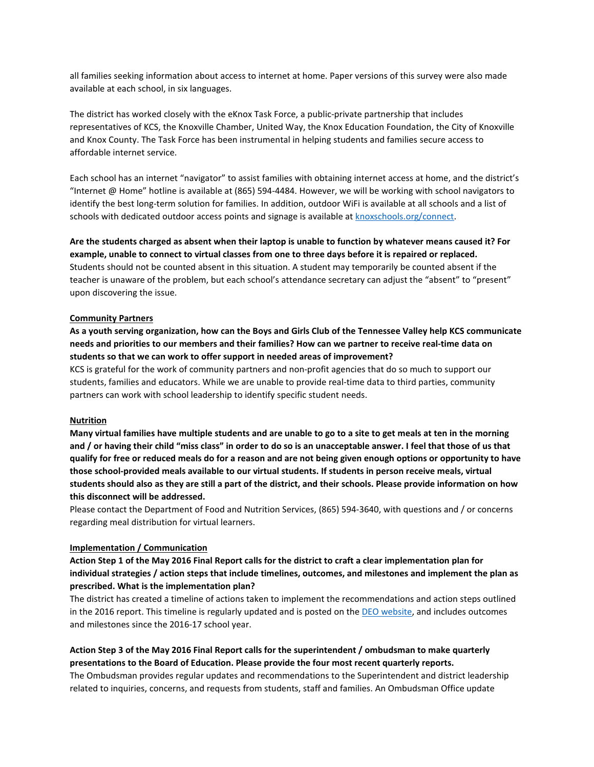all families seeking information about access to internet at home. Paper versions of this survey were also made available at each school, in six languages.

The district has worked closely with the eKnox Task Force, a public-private partnership that includes representatives of KCS, the Knoxville Chamber, United Way, the Knox Education Foundation, the City of Knoxville and Knox County. The Task Force has been instrumental in helping students and families secure access to affordable internet service.

Each school has an internet "navigator" to assist families with obtaining internet access at home, and the district's "Internet @ Home" hotline is available at (865) 594-4484. However, we will be working with school navigators to identify the best long-term solution for families. In addition, outdoor WiFi is available at all schools and a list of schools with dedicated outdoor access points and signage is available a[t knoxschools.org/connect.](http://www.knoxschools.org/connect)

**Are the students charged as absent when their laptop is unable to function by whatever means caused it? For example, unable to connect to virtual classes from one to three days before it is repaired or replaced.**  Students should not be counted absent in this situation. A student may temporarily be counted absent if the teacher is unaware of the problem, but each school's attendance secretary can adjust the "absent" to "present" upon discovering the issue.

### **Community Partners**

### **As a youth serving organization, how can the Boys and Girls Club of the Tennessee Valley help KCS communicate needs and priorities to our members and their families? How can we partner to receive real-time data on students so that we can work to offer support in needed areas of improvement?**

KCS is grateful for the work of community partners and non-profit agencies that do so much to support our students, families and educators. While we are unable to provide real-time data to third parties, community partners can work with school leadership to identify specific student needs.

#### **Nutrition**

**Many virtual families have multiple students and are unable to go to a site to get meals at ten in the morning and / or having their child "miss class" in order to do so is an unacceptable answer. I feel that those of us that qualify for free or reduced meals do for a reason and are not being given enough options or opportunity to have those school-provided meals available to our virtual students. If students in person receive meals, virtual students should also as they are still a part of the district, and their schools. Please provide information on how this disconnect will be addressed.** 

Please contact the Department of Food and Nutrition Services, (865) 594-3640, with questions and / or concerns regarding meal distribution for virtual learners.

#### **Implementation / Communication**

# **Action Step 1 of the May 2016 Final Report calls for the district to craft a clear implementation plan for individual strategies / action steps that include timelines, outcomes, and milestones and implement the plan as prescribed. What is the implementation plan?**

The district has created a timeline of actions taken to implement the recommendations and action steps outlined in the 2016 report. This timeline is regularly updated and is posted on the [DEO website,](http://www.knoxschools.org/deo) and includes outcomes and milestones since the 2016-17 school year.

# **Action Step 3 of the May 2016 Final Report calls for the superintendent / ombudsman to make quarterly presentations to the Board of Education. Please provide the four most recent quarterly reports.**

The Ombudsman provides regular updates and recommendations to the Superintendent and district leadership related to inquiries, concerns, and requests from students, staff and families. An Ombudsman Office update